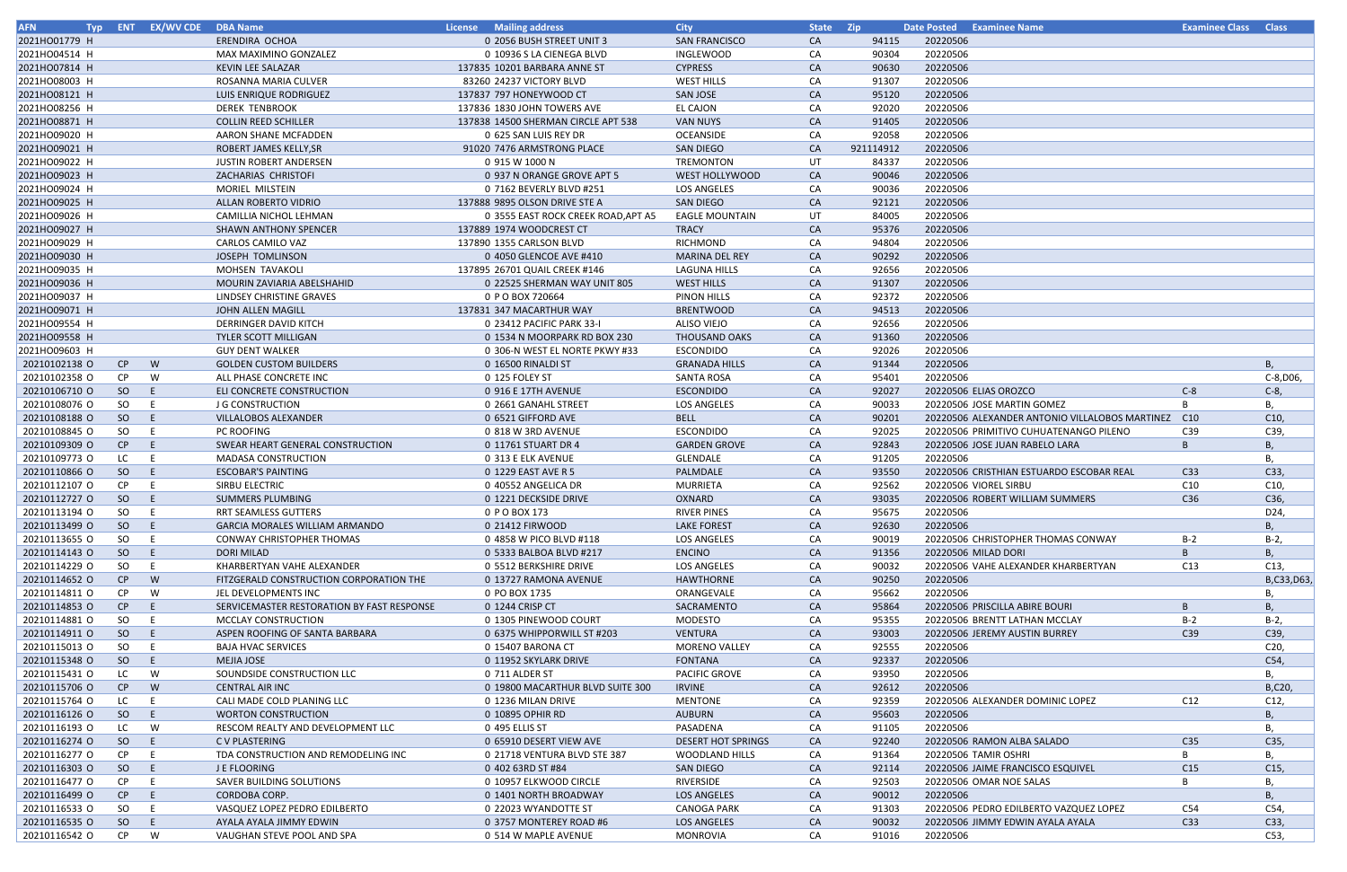| <b>AFN</b>    |           | Typ ENT EX/WV CDE DBA Name |                                            | License Mailing address             | <b>City</b>               | State Zip |           | Date Posted Examinee Name                          | <b>Examinee Class Class</b> |                 |
|---------------|-----------|----------------------------|--------------------------------------------|-------------------------------------|---------------------------|-----------|-----------|----------------------------------------------------|-----------------------------|-----------------|
| 2021HO01779 H |           |                            | ERENDIRA OCHOA                             | 0 2056 BUSH STREET UNIT 3           | <b>SAN FRANCISCO</b>      | <b>CA</b> | 94115     | 20220506                                           |                             |                 |
| 2021HO04514 H |           |                            | MAX MAXIMINO GONZALEZ                      | 0 10936 S LA CIENEGA BLVD           | INGLEWOOD                 | CA        | 90304     | 20220506                                           |                             |                 |
| 2021HO07814 H |           |                            | KEVIN LEE SALAZAR                          | 137835 10201 BARBARA ANNE ST        | <b>CYPRESS</b>            | CA        | 90630     | 20220506                                           |                             |                 |
| 2021HO08003 H |           |                            | ROSANNA MARIA CULVER                       | 83260 24237 VICTORY BLVD            | <b>WEST HILLS</b>         | CA        | 91307     | 20220506                                           |                             |                 |
| 2021HO08121 H |           |                            | LUIS ENRIQUE RODRIGUEZ                     | 137837 797 HONEYWOOD CT             | <b>SAN JOSE</b>           | CA        | 95120     | 20220506                                           |                             |                 |
| 2021HO08256 H |           |                            | <b>DEREK TENBROOK</b>                      | 137836 1830 JOHN TOWERS AVE         | <b>EL CAJON</b>           | CA        | 92020     | 20220506                                           |                             |                 |
| 2021HO08871 H |           |                            | <b>COLLIN REED SCHILLER</b>                | 137838 14500 SHERMAN CIRCLE APT 538 | <b>VAN NUYS</b>           | CA        | 91405     | 20220506                                           |                             |                 |
| 2021HO09020 H |           |                            | AARON SHANE MCFADDEN                       | 0 625 SAN LUIS REY DR               | OCEANSIDE                 | CA        | 92058     | 20220506                                           |                             |                 |
| 2021HO09021 H |           |                            | ROBERT JAMES KELLY, SR                     | 91020 7476 ARMSTRONG PLACE          | <b>SAN DIEGO</b>          | <b>CA</b> | 921114912 | 20220506                                           |                             |                 |
| 2021HO09022 H |           |                            | <b>JUSTIN ROBERT ANDERSEN</b>              | 0 915 W 1000 N                      | TREMONTON                 | UT        | 84337     | 20220506                                           |                             |                 |
| 2021HO09023 H |           |                            | ZACHARIAS CHRISTOFI                        | 0 937 N ORANGE GROVE APT 5          | WEST HOLLYWOOD            | <b>CA</b> |           | 20220506                                           |                             |                 |
| 2021HO09024 H |           |                            | MORIEL MILSTEIN                            |                                     | <b>LOS ANGELES</b>        |           | 90046     | 20220506                                           |                             |                 |
|               |           |                            |                                            | 0 7162 BEVERLY BLVD #251            |                           | CA        | 90036     |                                                    |                             |                 |
| 2021HO09025 H |           |                            | <b>ALLAN ROBERTO VIDRIO</b>                | 137888 9895 OLSON DRIVE STE A       | <b>SAN DIEGO</b>          | <b>CA</b> | 92121     | 20220506                                           |                             |                 |
| 2021HO09026 H |           |                            | CAMILLIA NICHOL LEHMAN                     | 0 3555 EAST ROCK CREEK ROAD, APT A5 | <b>EAGLE MOUNTAIN</b>     | UT        | 84005     | 20220506                                           |                             |                 |
| 2021HO09027 H |           |                            | <b>SHAWN ANTHONY SPENCER</b>               | 137889 1974 WOODCREST CT            | <b>TRACY</b>              | CA        | 95376     | 20220506                                           |                             |                 |
| 2021HO09029 H |           |                            | <b>CARLOS CAMILO VAZ</b>                   | 137890 1355 CARLSON BLVD            | RICHMOND                  | CA        | 94804     | 20220506                                           |                             |                 |
| 2021HO09030 H |           |                            | JOSEPH TOMLINSON                           | 0 4050 GLENCOE AVE #410             | <b>MARINA DEL REY</b>     | CA        | 90292     | 20220506                                           |                             |                 |
| 2021HO09035 H |           |                            | <b>MOHSEN TAVAKOLI</b>                     | 137895 26701 QUAIL CREEK #146       | <b>LAGUNA HILLS</b>       | CA        | 92656     | 20220506                                           |                             |                 |
| 2021HO09036 H |           |                            | MOURIN ZAVIARIA ABELSHAHID                 | 0 22525 SHERMAN WAY UNIT 805        | <b>WEST HILLS</b>         | CA        | 91307     | 20220506                                           |                             |                 |
| 2021HO09037 H |           |                            | LINDSEY CHRISTINE GRAVES                   | 0 P O BOX 720664                    | <b>PINON HILLS</b>        | CA        | 92372     | 20220506                                           |                             |                 |
| 2021HO09071 H |           |                            | JOHN ALLEN MAGILL                          | 137831 347 MACARTHUR WAY            | <b>BRENTWOOD</b>          | CA        | 94513     | 20220506                                           |                             |                 |
| 2021HO09554 H |           |                            | DERRINGER DAVID KITCH                      | 0 23412 PACIFIC PARK 33-I           | <b>ALISO VIEJO</b>        | CA        | 92656     | 20220506                                           |                             |                 |
| 2021HO09558 H |           |                            | <b>TYLER SCOTT MILLIGAN</b>                | 0 1534 N MOORPARK RD BOX 230        | THOUSAND OAKS             | <b>CA</b> | 91360     | 20220506                                           |                             |                 |
| 2021HO09603 H |           |                            | <b>GUY DENT WALKER</b>                     | 0 306-N WEST EL NORTE PKWY #33      | <b>ESCONDIDO</b>          | CA        | 92026     | 20220506                                           |                             |                 |
| 20210102138 O | CP.       | W                          | <b>GOLDEN CUSTOM BUILDERS</b>              | 0 16500 RINALDI ST                  | <b>GRANADA HILLS</b>      | CA        | 91344     | 20220506                                           |                             | B,              |
| 20210102358 O | <b>CP</b> | W                          | ALL PHASE CONCRETE INC                     | 0 125 FOLEY ST                      | SANTA ROSA                | CA        | 95401     | 20220506                                           |                             | C-8, D06,       |
| 20210106710 O | SO        | - E                        | ELI CONCRETE CONSTRUCTION                  | 0 916 E 17TH AVENUE                 | <b>ESCONDIDO</b>          | CA        | 92027     | 20220506 ELIAS OROZCO                              | $C-8$                       | $C-8$ ,         |
|               |           |                            |                                            |                                     |                           |           |           |                                                    | B                           |                 |
| 20210108076 O | SO        | E                          | J G CONSTRUCTION                           | 0 2661 GANAHL STREET                | <b>LOS ANGELES</b>        | CA        | 90033     | 20220506 JOSE MARTIN GOMEZ                         |                             | В,              |
| 20210108188 O | SO        | $-E$                       | VILLALOBOS ALEXANDER                       | 0 6521 GIFFORD AVE                  | <b>BELL</b>               | CA        | 90201     | 20220506 ALEXANDER ANTONIO VILLALOBOS MARTINEZ C10 |                             | C10,            |
| 20210108845 O | SO        | E                          | PC ROOFING                                 | 0 818 W 3RD AVENUE                  | <b>ESCONDIDO</b>          | CA        | 92025     | 20220506 PRIMITIVO CUHUATENANGO PILENO             | C39                         | C39,            |
| 20210109309 O | CP        | -E                         | SWEAR HEART GENERAL CONSTRUCTION           | 0 11761 STUART DR 4                 | <b>GARDEN GROVE</b>       | <b>CA</b> | 92843     | 20220506 JOSE JUAN RABELO LARA                     | B                           | В,              |
| 20210109773 O | LC.       |                            | <b>MADASA CONSTRUCTION</b>                 | 0 313 E ELK AVENUE                  | GLENDALE                  | CA        | 91205     | 20220506                                           |                             | В,              |
| 20210110866 O | SO        | - E                        | <b>ESCOBAR'S PAINTING</b>                  | 0 1229 EAST AVE R 5                 | PALMDALE                  | CA        | 93550     | 20220506 CRISTHIAN ESTUARDO ESCOBAR REAL           | C <sub>33</sub>             | C33,            |
| 20210112107 0 | CP.       |                            | SIRBU ELECTRIC                             | 0 40552 ANGELICA DR                 | MURRIETA                  | CA        | 92562     | 20220506 VIOREL SIRBU                              | C10                         | C10,            |
| 20210112727 0 | SO        | -E                         | <b>SUMMERS PLUMBING</b>                    | 0 1221 DECKSIDE DRIVE               | OXNARD                    | CA        | 93035     | 20220506 ROBERT WILLIAM SUMMERS                    | C <sub>36</sub>             | C36,            |
| 20210113194 O | SO.       |                            | RRT SEAMLESS GUTTERS                       | 0 P O BOX 173                       | <b>RIVER PINES</b>        | CA        | 95675     | 20220506                                           |                             | D24,            |
| 20210113499 O | SO        | - E                        | <b>GARCIA MORALES WILLIAM ARMANDO</b>      | 0 21412 FIRWOOD                     | <b>LAKE FOREST</b>        | CA        | 92630     | 20220506                                           |                             | В,              |
| 20210113655 O | SO.       | - E                        | CONWAY CHRISTOPHER THOMAS                  | 0 4858 W PICO BLVD #118             | LOS ANGELES               | CA        | 90019     | 20220506 CHRISTOPHER THOMAS CONWAY                 | $B-2$                       | $B-2$           |
| 20210114143 O | SO        | $-E$                       | <b>DORI MILAD</b>                          | 0 5333 BALBOA BLVD #217             | <b>ENCINO</b>             | <b>CA</b> | 91356     | 20220506 MILAD DORI                                | B                           | В,              |
| 20210114229 O | SO        | E                          | KHARBERTYAN VAHE ALEXANDER                 | 0 5512 BERKSHIRE DRIVE              | LOS ANGELES               | CA        | 90032     | 20220506 VAHE ALEXANDER KHARBERTYAN                | C13                         | C13,            |
| 20210114652 O | CP        | W                          | FITZGERALD CONSTRUCTION CORPORATION THE    | 0 13727 RAMONA AVENUE               | <b>HAWTHORNE</b>          | <b>CA</b> | 90250     | 20220506                                           |                             | B,C33,D63,      |
| 20210114811 0 | CP.       | W                          | JEL DEVELOPMENTS INC                       | 0 PO BOX 1735                       | ORANGEVALE                | CA        | 95662     | 20220506                                           |                             | В,              |
| 20210114853 O | CP        | E                          | SERVICEMASTER RESTORATION BY FAST RESPONSE | 0 1244 CRISP CT                     | SACRAMENTO                | CA        | 95864     | 20220506 PRISCILLA ABIRE BOURI                     | B                           | В,              |
| 20210114881 O | SO.       | E                          | MCCLAY CONSTRUCTION                        | 0 1305 PINEWOOD COURT               | MODESTO                   | CA        | 95355     | 20220506 BRENTT LATHAN MCCLAY                      | $B-2$                       | $B-2$           |
| 20210114911 0 | SO        | -E                         | ASPEN ROOFING OF SANTA BARBARA             | 0 6375 WHIPPORWILL ST #203          | <b>VENTURA</b>            | CA        | 93003     | 20220506 JEREMY AUSTIN BURREY                      | C <sub>39</sub>             | C39,            |
| 20210115013 O | SO        | -E                         | <b>BAJA HVAC SERVICES</b>                  | 0 15407 BARONA CT                   | <b>MORENO VALLEY</b>      | CA        | 92555     | 20220506                                           |                             | C <sub>20</sub> |
| 20210115348 O | SO        | -E                         | MEJIA JOSE                                 | 0 11952 SKYLARK DRIVE               | <b>FONTANA</b>            | CA        | 92337     | 20220506                                           |                             | C54,            |
|               |           |                            |                                            |                                     |                           |           |           |                                                    |                             |                 |
| 20210115431 O | LC.       | W                          | SOUNDSIDE CONSTRUCTION LLC                 | 0 711 ALDER ST                      | PACIFIC GROVE             | CA        | 93950     | 20220506                                           |                             | В,              |
| 20210115706 O | CP        | W                          | CENTRAL AIR INC                            | 0 19800 MACARTHUR BLVD SUITE 300    | <b>IRVINE</b>             | CA        | 92612     | 20220506                                           |                             | B,C20,          |
| 20210115764 O | LC .      | - E                        | CALI MADE COLD PLANING LLC                 | 0 1236 MILAN DRIVE                  | <b>MENTONE</b>            | CA        | 92359     | 20220506 ALEXANDER DOMINIC LOPEZ                   | C12                         | C12,            |
| 20210116126 O | SO        | - E                        | <b>WORTON CONSTRUCTION</b>                 | 0 10895 OPHIR RD                    | <b>AUBURN</b>             | <b>CA</b> | 95603     | 20220506                                           |                             | В,              |
| 20210116193 O | LC .      | W                          | RESCOM REALTY AND DEVELOPMENT LLC          | 0 495 ELLIS ST                      | PASADENA                  | CA        | 91105     | 20220506                                           |                             | В,              |
| 20210116274 O | SO        | - E                        | C V PLASTERING                             | 0 65910 DESERT VIEW AVE             | <b>DESERT HOT SPRINGS</b> | CA        | 92240     | 20220506 RAMON ALBA SALADO                         | C35                         | C35,            |
| 20210116277 O | CP.       | E                          | TDA CONSTRUCTION AND REMODELING INC        | 0 21718 VENTURA BLVD STE 387        | <b>WOODLAND HILLS</b>     | CA        | 91364     | 20220506 TAMIR OSHRI                               | B                           | В,              |
| 20210116303 O | SO        | -E                         | J E FLOORING                               | 0 402 63RD ST #84                   | <b>SAN DIEGO</b>          | CA        | 92114     | 20220506 JAIME FRANCISCO ESQUIVEL                  | C15                         | C15,            |
| 20210116477 0 | CP.       | -E                         | SAVER BUILDING SOLUTIONS                   | 0 10957 ELKWOOD CIRCLE              | RIVERSIDE                 | CA        | 92503     | 20220506 OMAR NOE SALAS                            | B                           | В,              |
| 20210116499 O | CP        | -E                         | CORDOBA CORP.                              | 0 1401 NORTH BROADWAY               | LOS ANGELES               | CA        | 90012     | 20220506                                           |                             | В,              |
| 20210116533 O | SO        | -E                         | VASQUEZ LOPEZ PEDRO EDILBERTO              | 0 22023 WYANDOTTE ST                | <b>CANOGA PARK</b>        | CA        | 91303     | 20220506 PEDRO EDILBERTO VAZQUEZ LOPEZ             | C54                         | C54             |
| 20210116535 O | SO        | - E                        | AYALA AYALA JIMMY EDWIN                    | 0 3757 MONTEREY ROAD #6             | LOS ANGELES               | CA        | 90032     | 20220506 JIMMY EDWIN AYALA AYALA                   | C <sub>33</sub>             | C33,            |
| 20210116542 O | CP.       | W                          | VAUGHAN STEVE POOL AND SPA                 | 0 514 W MAPLE AVENUE                | MONROVIA                  | CA        | 91016     | 20220506                                           |                             | C53,            |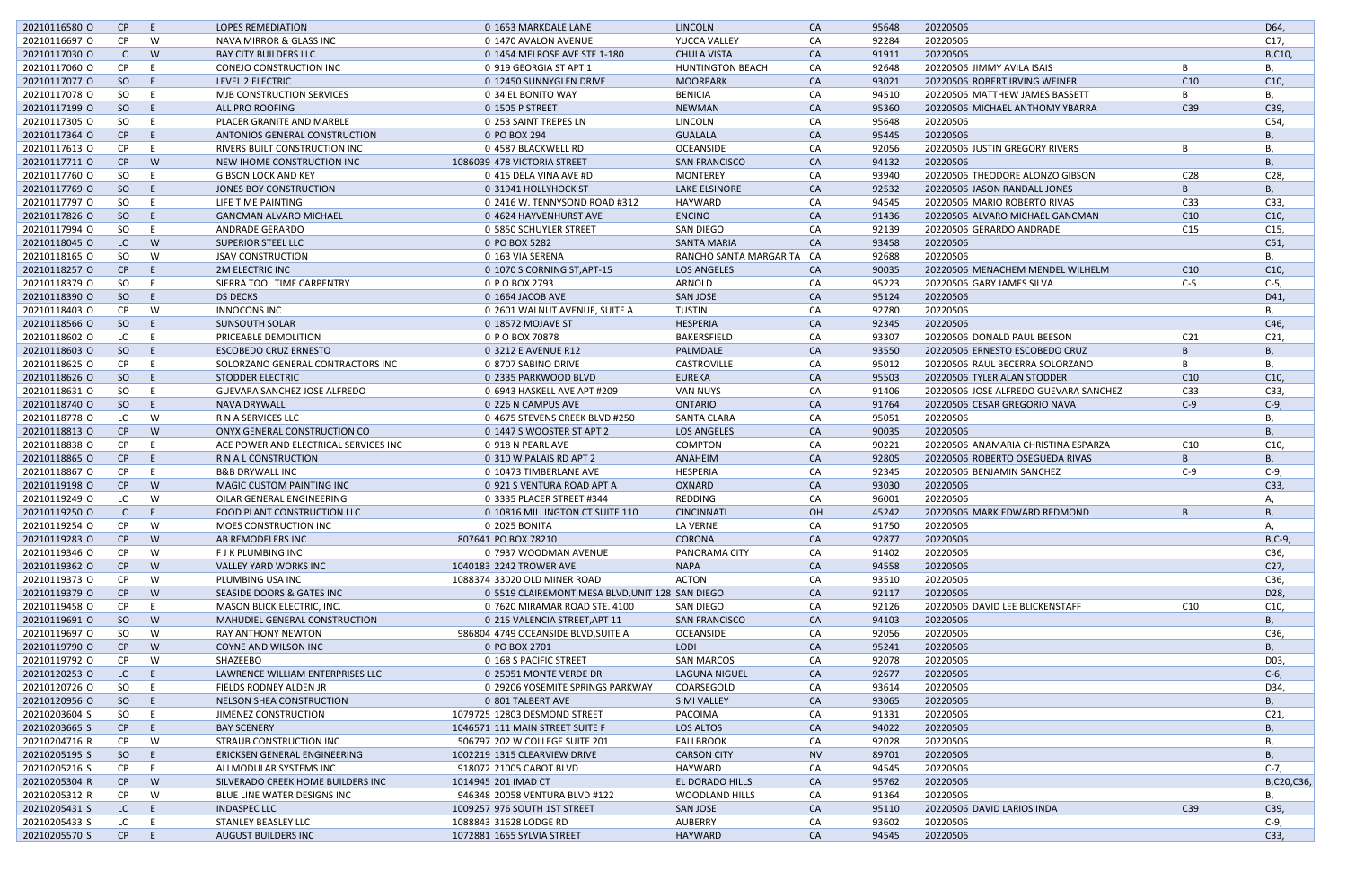| 20210116580 O | CP        | E        | <b>LOPES REMEDIATION</b>              | 0 1653 MARKDALE LANE                            | <b>LINCOLN</b>            | CA        | 95648 | 20220506                              |                 | D64,            |
|---------------|-----------|----------|---------------------------------------|-------------------------------------------------|---------------------------|-----------|-------|---------------------------------------|-----------------|-----------------|
| 20210116697 O | <b>CP</b> | W        | NAVA MIRROR & GLASS INC               | 0 1470 AVALON AVENUE                            | YUCCA VALLEY              | CA        | 92284 | 20220506                              |                 | C17,            |
| 20210117030 O | LC        | <b>W</b> | <b>BAY CITY BUILDERS LLC</b>          | 0 1454 MELROSE AVE STE 1-180                    | <b>CHULA VISTA</b>        | <b>CA</b> | 91911 | 20220506                              |                 | B,C10,          |
| 20210117060 O | <b>CP</b> | E        | <b>CONEJO CONSTRUCTION INC</b>        | 0 919 GEORGIA ST APT 1                          | <b>HUNTINGTON BEACH</b>   | CA        | 92648 | 20220506 JIMMY AVILA ISAIS            |                 | В,              |
| 20210117077 0 | SO        | E        | LEVEL 2 ELECTRIC                      | 0 12450 SUNNYGLEN DRIVE                         | <b>MOORPARK</b>           | <b>CA</b> | 93021 | 20220506 ROBERT IRVING WEINER         | C10             | C10,            |
| 20210117078 O | SO        | - E      | <b>MJB CONSTRUCTION SERVICES</b>      | 0 34 EL BONITO WAY                              | <b>BENICIA</b>            | CA        | 94510 | 20220506 MATTHEW JAMES BASSETT        | B               | В,              |
| 20210117199 O | SO        | E        | ALL PRO ROOFING                       | 0 1505 P STREET                                 | <b>NEWMAN</b>             | <b>CA</b> | 95360 | 20220506 MICHAEL ANTHOMY YBARRA       | C39             | C39,            |
| 20210117305 O | SO        | E        | PLACER GRANITE AND MARBLE             | 0 253 SAINT TREPES LN                           | LINCOLN                   | CA        | 95648 | 20220506                              |                 | C54,            |
| 20210117364 O | CP        | - E      | ANTONIOS GENERAL CONSTRUCTION         | 0 PO BOX 294                                    | <b>GUALALA</b>            | <b>CA</b> | 95445 | 20220506                              |                 | Β,              |
| 20210117613 O | CP.       |          | RIVERS BUILT CONSTRUCTION INC         | 0 4587 BLACKWELL RD                             | <b>OCEANSIDE</b>          | CA        | 92056 | 20220506 JUSTIN GREGORY RIVERS        |                 | В,              |
|               |           |          |                                       |                                                 |                           |           |       |                                       |                 |                 |
| 20210117711 0 | CP        | <b>W</b> | NEW IHOME CONSTRUCTION INC            | 1086039 478 VICTORIA STREET                     | <b>SAN FRANCISCO</b>      | <b>CA</b> | 94132 | 20220506                              |                 | В,              |
| 20210117760 O | SO        | - E      | <b>GIBSON LOCK AND KEY</b>            | 0 415 DELA VINA AVE #D                          | <b>MONTEREY</b>           | CA        | 93940 | 20220506 THEODORE ALONZO GIBSON       | C <sub>28</sub> | C <sub>28</sub> |
| 20210117769 O | SO        | E        | JONES BOY CONSTRUCTION                | 0 31941 HOLLYHOCK ST                            | LAKE ELSINORE             | CA        | 92532 | 20220506 JASON RANDALL JONES          | B               | <b>B</b> ,      |
| 20210117797 O | SO        | - E      | LIFE TIME PAINTING                    | 0 2416 W. TENNYSOND ROAD #312                   | HAYWARD                   | CA        | 94545 | 20220506 MARIO ROBERTO RIVAS          | C33             | C33,            |
| 20210117826 O | SO        | E        | <b>GANCMAN ALVARO MICHAEL</b>         | 0 4624 HAYVENHURST AVE                          | <b>ENCINO</b>             | <b>CA</b> | 91436 | 20220506 ALVARO MICHAEL GANCMAN       | C10             | C10,            |
| 20210117994 O | <b>SO</b> | - F      | <b>ANDRADE GERARDO</b>                | 0 5850 SCHUYLER STREET                          | <b>SAN DIEGO</b>          | CA        | 92139 | 20220506 GERARDO ANDRADE              | C15             | C15,            |
| 20210118045 O | LC        | W        | <b>SUPERIOR STEEL LLC</b>             | 0 PO BOX 5282                                   | <b>SANTA MARIA</b>        | <b>CA</b> | 93458 | 20220506                              |                 | C51,            |
| 20210118165 O | SO        | W        | <b>JSAV CONSTRUCTION</b>              | 0 163 VIA SERENA                                | RANCHO SANTA MARGARITA CA |           | 92688 | 20220506                              |                 | В,              |
| 20210118257 0 | CP        | E        | <b>2M ELECTRIC INC</b>                | 0 1070 S CORNING ST, APT-15                     | <b>LOS ANGELES</b>        | CA        | 90035 | 20220506 MENACHEM MENDEL WILHELM      | C10             | C10,            |
| 20210118379 O | SO        | - E      | SIERRA TOOL TIME CARPENTRY            | 0 P O BOX 2793                                  | ARNOLD                    | CA        | 95223 | 20220506 GARY JAMES SILVA             | $C-5$           | $C-5$ ,         |
| 20210118390 O | SO        | E        | <b>DS DECKS</b>                       | 0 1664 JACOB AVE                                | <b>SAN JOSE</b>           | CA        | 95124 | 20220506                              |                 | D41,            |
| 20210118403 O | <b>CP</b> | W        | <b>INNOCONS INC</b>                   | 0 2601 WALNUT AVENUE, SUITE A                   | TUSTIN                    | CA        | 92780 | 20220506                              |                 | В,              |
| 20210118566 O | SO        | - E      | <b>SUNSOUTH SOLAR</b>                 | 0 18572 MOJAVE ST                               | <b>HESPERIA</b>           | CA        | 92345 | 20220506                              |                 | C46,            |
|               |           |          |                                       |                                                 |                           |           |       |                                       |                 |                 |
| 20210118602 O | LC        | E        | PRICEABLE DEMOLITION                  | 0 P O BOX 70878                                 | BAKERSFIELD               | CA        | 93307 | 20220506 DONALD PAUL BEESON           | C <sub>21</sub> | C <sub>21</sub> |
| 20210118603 O | SO        | $-E$     | <b>ESCOBEDO CRUZ ERNESTO</b>          | 0 3212 E AVENUE R12                             | PALMDALE                  | CA        | 93550 | 20220506 ERNESTO ESCOBEDO CRUZ        | B               | В,              |
| 20210118625 O | <b>CP</b> | E        | SOLORZANO GENERAL CONTRACTORS INC     | 0 8707 SABINO DRIVE                             | CASTROVILLE               | CA        | 95012 | 20220506 RAUL BECERRA SOLORZANO       | B               | В,              |
| 20210118626 O | SO        | - E      | <b>STODDER ELECTRIC</b>               | 0 2335 PARKWOOD BLVD                            | <b>EUREKA</b>             | <b>CA</b> | 95503 | 20220506 TYLER ALAN STODDER           | C10             | C10,            |
| 20210118631 O | SO        | E        | <b>GUEVARA SANCHEZ JOSE ALFREDO</b>   | 0 6943 HASKELL AVE APT #209                     | <b>VAN NUYS</b>           | CA        | 91406 | 20220506 JOSE ALFREDO GUEVARA SANCHEZ | C <sub>33</sub> | C33,            |
| 20210118740 O | SO        | - E      | <b>NAVA DRYWALL</b>                   | 0 226 N CAMPUS AVE                              | <b>ONTARIO</b>            | <b>CA</b> | 91764 | 20220506 CESAR GREGORIO NAVA          | $C-9$           | $C-9$           |
| 20210118778 O | LC        | W        | R N A SERVICES LLC                    | 0 4675 STEVENS CREEK BLVD #250                  | <b>SANTA CLARA</b>        | CA        | 95051 | 20220506                              |                 | В,              |
| 20210118813 0 | CP        | W        | ONYX GENERAL CONSTRUCTION CO          | 0 1447 S WOOSTER ST APT 2                       | <b>LOS ANGELES</b>        | CA        | 90035 | 20220506                              |                 | В,              |
| 20210118838 O | CP.       | -E       | ACE POWER AND ELECTRICAL SERVICES INC | 0 918 N PEARL AVE                               | COMPTON                   | CA        | 90221 | 20220506 ANAMARIA CHRISTINA ESPARZA   | C <sub>10</sub> | C10,            |
| 20210118865 O | CP        | - E      | R N A L CONSTRUCTION                  | 0 310 W PALAIS RD APT 2                         | ANAHEIM                   | CA        | 92805 | 20220506 ROBERTO OSEGUEDA RIVAS       | B               | В,              |
| 20210118867 O | CP.       | E        | <b>B&amp;B DRYWALL INC</b>            | 0 10473 TIMBERLANE AVE                          | HESPERIA                  | CA        | 92345 | 20220506 BENJAMIN SANCHEZ             | $C-9$           | $C-9$           |
| 20210119198 O | CP.       | <b>W</b> | <b>MAGIC CUSTOM PAINTING INC</b>      | 0 921 S VENTURA ROAD APT A                      | OXNARD                    | <b>CA</b> | 93030 | 20220506                              |                 | C33,            |
| 20210119249 O | LC.       | W        | OILAR GENERAL ENGINEERING             | 0 3335 PLACER STREET #344                       | REDDING                   | CA        | 96001 | 20220506                              |                 | Α,              |
|               |           |          |                                       |                                                 |                           |           |       |                                       |                 |                 |
| 20210119250 O | LC.       | E        | FOOD PLANT CONSTRUCTION LLC           | 0 10816 MILLINGTON CT SUITE 110                 | <b>CINCINNATI</b>         | <b>OH</b> | 45242 | 20220506 MARK EDWARD REDMOND          |                 | B.              |
| 20210119254 O | <b>CP</b> | W        | MOES CONSTRUCTION INC                 | 0 2025 BONITA                                   | LA VERNE                  | CA        | 91750 | 20220506                              |                 | Α,              |
| 20210119283 O | CP        | W        | AB REMODELERS INC                     | 807641 PO BOX 78210                             | CORONA                    | <b>CA</b> | 92877 | 20220506                              |                 | $B, C-9,$       |
| 20210119346 O | <b>CP</b> | W        | <b>FJK PLUMBING INC</b>               | 0 7937 WOODMAN AVENUE                           | PANORAMA CITY             | CA        | 91402 | 20220506                              |                 | C36,            |
| 20210119362 O | CP        | W        | <b>VALLEY YARD WORKS INC</b>          | 1040183 2242 TROWER AVE                         | <b>NAPA</b>               | CA        | 94558 | 20220506                              |                 | C27,            |
| 20210119373 O | CP.       | W        | PLUMBING USA INC                      | 1088374 33020 OLD MINER ROAD                    | ACTON                     | CA        | 93510 | 20220506                              |                 | C36,            |
| 20210119379 O | CP        | W        | SEASIDE DOORS & GATES INC             | 0 5519 CLAIREMONT MESA BLVD, UNIT 128 SAN DIEGO |                           | CA        | 92117 | 20220506                              |                 | D <sub>28</sub> |
| 20210119458 O | <b>CP</b> | -E       | MASON BLICK ELECTRIC, INC.            | 0 7620 MIRAMAR ROAD STE. 4100                   | SAN DIEGO                 | CA        | 92126 | 20220506 DAVID LEE BLICKENSTAFF       | C10             | C10,            |
| 20210119691 O | SO        | W        | MAHUDIEL GENERAL CONSTRUCTION         | 0 215 VALENCIA STREET, APT 11                   | <b>SAN FRANCISCO</b>      | CA        | 94103 | 20220506                              |                 | <b>B</b> ,      |
| 20210119697 O | SO        | W        | RAY ANTHONY NEWTON                    | 986804 4749 OCEANSIDE BLVD, SUITE A             | OCEANSIDE                 | CA        | 92056 | 20220506                              |                 | C36,            |
| 20210119790 O | CP        | W        | COYNE AND WILSON INC                  | 0 PO BOX 2701                                   | LODI                      | CA        | 95241 | 20220506                              |                 | <b>B</b> ,      |
| 20210119792 O | CP.       | W        | SHAZEEBO                              | 0 168 S PACIFIC STREET                          | <b>SAN MARCOS</b>         | CA        | 92078 | 20220506                              |                 | D03,            |
| 20210120253 O | LC        | $-E$     | LAWRENCE WILLIAM ENTERPRISES LLC      | 0 25051 MONTE VERDE DR                          | LAGUNA NIGUEL             | <b>CA</b> | 92677 | 20220506                              |                 | $C-6$           |
| 20210120726 O | SO        | E        | FIELDS RODNEY ALDEN JR                | 0 29206 YOSEMITE SPRINGS PARKWAY                | COARSEGOLD                | CA        | 93614 | 20220506                              |                 | D34,            |
|               |           |          |                                       |                                                 |                           |           |       |                                       |                 |                 |
| 20210120956 O | SO        | - E      | NELSON SHEA CONSTRUCTION              | 0 801 TALBERT AVE                               | <b>SIMI VALLEY</b>        | <b>CA</b> | 93065 | 20220506                              |                 | В,              |
| 20210203604 S | SO        | E        | JIMENEZ CONSTRUCTION                  | 1079725 12803 DESMOND STREET                    | PACOIMA                   | CA        | 91331 | 20220506                              |                 | C <sub>21</sub> |
| 20210203665 S | CP        | E        | <b>BAY SCENERY</b>                    | 1046571 111 MAIN STREET SUITE F                 | LOS ALTOS                 | <b>CA</b> | 94022 | 20220506                              |                 | В,              |
| 20210204716 R | <b>CP</b> | W        | STRAUB CONSTRUCTION INC               | 506797 202 W COLLEGE SUITE 201                  | <b>FALLBROOK</b>          | CA        | 92028 | 20220506                              |                 | В,              |
| 20210205195 S | SO        | E        | ERICKSEN GENERAL ENGINEERING          | 1002219 1315 CLEARVIEW DRIVE                    | <b>CARSON CITY</b>        | <b>NV</b> | 89701 | 20220506                              |                 | В,              |
| 20210205216 S | <b>CP</b> | E        | ALLMODULAR SYSTEMS INC                | 918072 21005 CABOT BLVD                         | HAYWARD                   | CA        | 94545 | 20220506                              |                 | $C-7$ ,         |
| 20210205304 R | CP        | W        | SILVERADO CREEK HOME BUILDERS INC     | 1014945 201 IMAD CT                             | EL DORADO HILLS           | CA        | 95762 | 20220506                              |                 | B,C20,C36,      |
| 20210205312 R | <b>CP</b> | W        | BLUE LINE WATER DESIGNS INC           | 946348 20058 VENTURA BLVD #122                  | WOODLAND HILLS            | CA        | 91364 | 20220506                              |                 | В,              |
| 20210205431 S | LC        | - E      | <b>INDASPEC LLC</b>                   | 1009257 976 SOUTH 1ST STREET                    | <b>SAN JOSE</b>           | CA        | 95110 | 20220506 DAVID LARIOS INDA            | C39             | C39,            |
| 20210205433 S | LC        | - E      | STANLEY BEASLEY LLC                   | 1088843 31628 LODGE RD                          | AUBERRY                   | CA        | 93602 | 20220506                              |                 | C-9,            |
| 20210205570 S | CP        | E        | AUGUST BUILDERS INC                   | 1072881 1655 SYLVIA STREET                      | HAYWARD                   | <b>CA</b> | 94545 | 20220506                              |                 | C33,            |
|               |           |          |                                       |                                                 |                           |           |       |                                       |                 |                 |